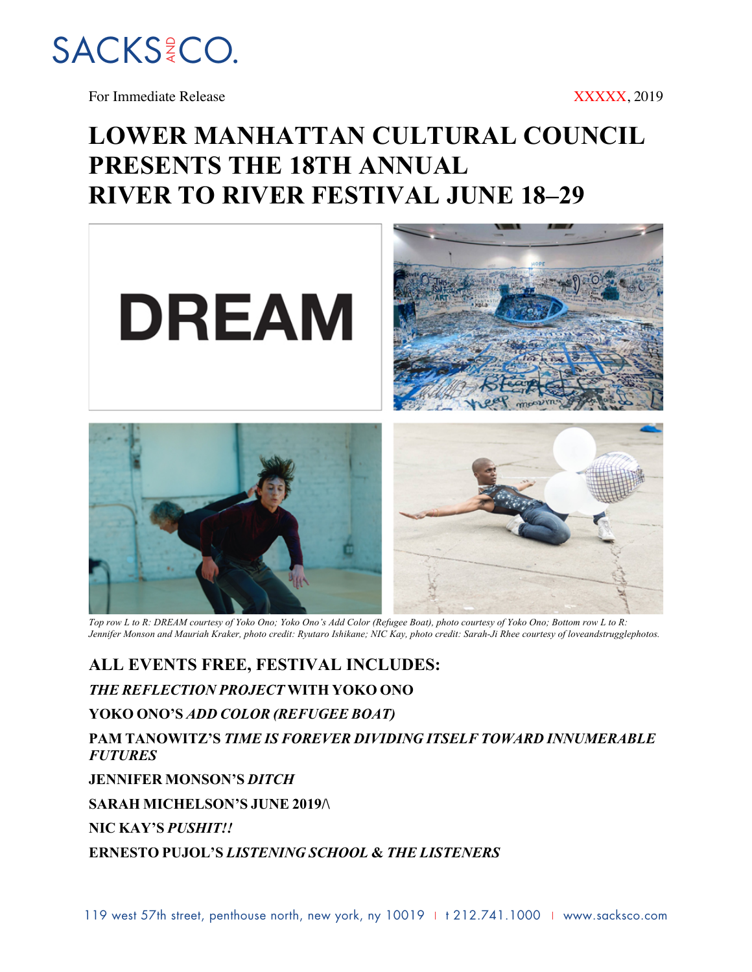

For Immediate Release XXXXX, 2019

## **LOWER MANHATTAN CULTURAL COUNCIL PRESENTS THE 18TH ANNUAL RIVER TO RIVER FESTIVAL JUNE 18–29**



*Top row L to R: DREAM courtesy of Yoko Ono; Yoko Ono's Add Color (Refugee Boat), photo courtesy of Yoko Ono; Bottom row L to R: Jennifer Monson and Mauriah Kraker, photo credit: Ryutaro Ishikane; NIC Kay, photo credit: Sarah-Ji Rhee courtesy of loveandstrugglephotos.*

**ALL EVENTS FREE, FESTIVAL INCLUDES:**

*THE REFLECTION PROJECT* **WITH YOKO ONO**

**YOKO ONO'S** *ADD COLOR (REFUGEE BOAT)*

**PAM TANOWITZ'S** *TIME IS FOREVER DIVIDING ITSELF TOWARD INNUMERABLE FUTURES*

**JENNIFER MONSON'S** *DITCH*

**SARAH MICHELSON'S JUNE 2019/\**

**NIC KAY'S** *PUSHIT!!*

**ERNESTO PUJOL'S** *LISTENING SCHOOL* **&** *THE LISTENERS*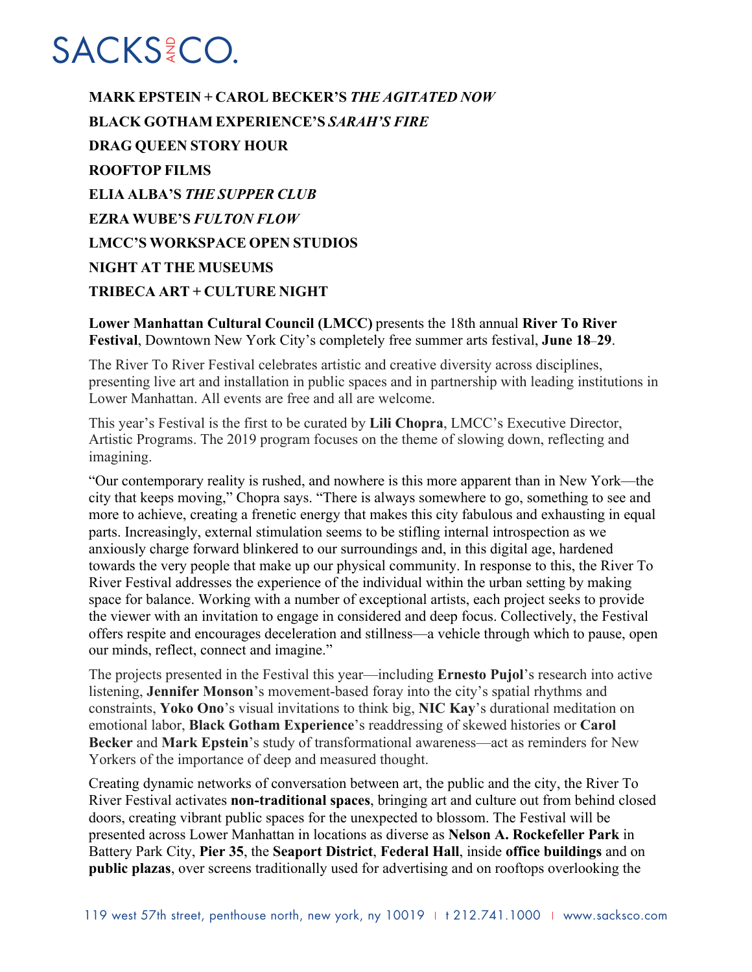**MARK EPSTEIN + CAROL BECKER'S** *THE AGITATED NOW* **BLACK GOTHAM EXPERIENCE'S** *SARAH'S FIRE* **DRAG QUEEN STORY HOUR ROOFTOP FILMS ELIA ALBA'S** *THE SUPPER CLUB* **EZRA WUBE'S** *FULTON FLOW* **LMCC'S WORKSPACE OPEN STUDIOS NIGHT AT THE MUSEUMS TRIBECA ART + CULTURE NIGHT**

**Lower Manhattan Cultural Council (LMCC)** presents the 18th annual **River To River Festival**, Downtown New York City's completely free summer arts festival, **June 18**–**29**.

The River To River Festival celebrates artistic and creative diversity across disciplines, presenting live art and installation in public spaces and in partnership with leading institutions in Lower Manhattan. All events are free and all are welcome.

This year's Festival is the first to be curated by **Lili Chopra**, LMCC's Executive Director, Artistic Programs. The 2019 program focuses on the theme of slowing down, reflecting and imagining.

"Our contemporary reality is rushed, and nowhere is this more apparent than in New York—the city that keeps moving," Chopra says. "There is always somewhere to go, something to see and more to achieve, creating a frenetic energy that makes this city fabulous and exhausting in equal parts. Increasingly, external stimulation seems to be stifling internal introspection as we anxiously charge forward blinkered to our surroundings and, in this digital age, hardened towards the very people that make up our physical community. In response to this, the River To River Festival addresses the experience of the individual within the urban setting by making space for balance. Working with a number of exceptional artists, each project seeks to provide the viewer with an invitation to engage in considered and deep focus. Collectively, the Festival offers respite and encourages deceleration and stillness—a vehicle through which to pause, open our minds, reflect, connect and imagine."

The projects presented in the Festival this year—including **Ernesto Pujol**'s research into active listening, **Jennifer Monson**'s movement-based foray into the city's spatial rhythms and constraints, **Yoko Ono**'s visual invitations to think big, **NIC Kay**'s durational meditation on emotional labor, **Black Gotham Experience**'s readdressing of skewed histories or **Carol Becker** and **Mark Epstein**'s study of transformational awareness—act as reminders for New Yorkers of the importance of deep and measured thought.

Creating dynamic networks of conversation between art, the public and the city, the River To River Festival activates **non-traditional spaces**, bringing art and culture out from behind closed doors, creating vibrant public spaces for the unexpected to blossom. The Festival will be presented across Lower Manhattan in locations as diverse as **Nelson A. Rockefeller Park** in Battery Park City, **Pier 35**, the **Seaport District**, **Federal Hall**, inside **office buildings** and on **public plazas**, over screens traditionally used for advertising and on rooftops overlooking the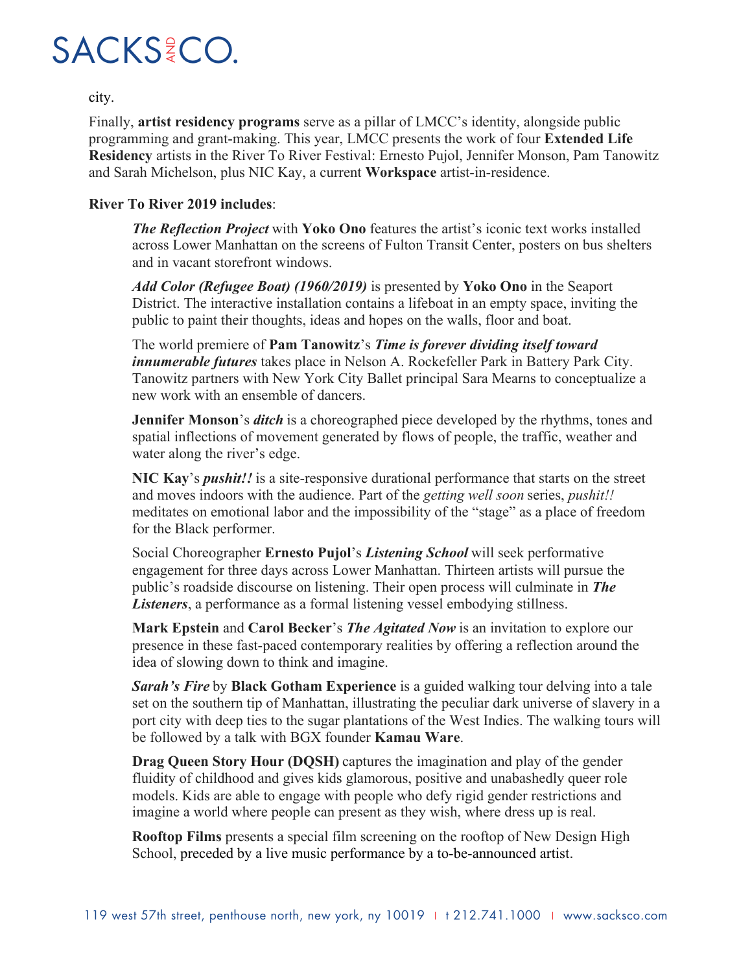

city.

Finally, **artist residency programs** serve as a pillar of LMCC's identity, alongside public programming and grant-making. This year, LMCC presents the work of four **Extended Life Residency** artists in the River To River Festival: Ernesto Pujol, Jennifer Monson, Pam Tanowitz and Sarah Michelson, plus NIC Kay, a current **Workspace** artist-in-residence.

#### **River To River 2019 includes**:

*The Reflection Project* with **Yoko Ono** features the artist's iconic text works installed across Lower Manhattan on the screens of Fulton Transit Center, posters on bus shelters and in vacant storefront windows.

*Add Color (Refugee Boat) (1960/2019)* is presented by **Yoko Ono** in the Seaport District. The interactive installation contains a lifeboat in an empty space, inviting the public to paint their thoughts, ideas and hopes on the walls, floor and boat.

The world premiere of **Pam Tanowitz**'s *Time is forever dividing itself toward innumerable futures* takes place in Nelson A. Rockefeller Park in Battery Park City. Tanowitz partners with New York City Ballet principal Sara Mearns to conceptualize a new work with an ensemble of dancers.

**Jennifer Monson**'s *ditch* is a choreographed piece developed by the rhythms, tones and spatial inflections of movement generated by flows of people, the traffic, weather and water along the river's edge.

**NIC Kay**'s *pushit!!* is a site-responsive durational performance that starts on the street and moves indoors with the audience. Part of the *getting well soon* series, *pushit!!* meditates on emotional labor and the impossibility of the "stage" as a place of freedom for the Black performer.

Social Choreographer **Ernesto Pujol**'s *Listening School* will seek performative engagement for three days across Lower Manhattan. Thirteen artists will pursue the public's roadside discourse on listening. Their open process will culminate in *The Listeners*, a performance as a formal listening vessel embodying stillness.

**Mark Epstein** and **Carol Becker**'s *The Agitated Now* is an invitation to explore our presence in these fast-paced contemporary realities by offering a reflection around the idea of slowing down to think and imagine.

*Sarah's Fire* by **Black Gotham Experience** is a guided walking tour delving into a tale set on the southern tip of Manhattan, illustrating the peculiar dark universe of slavery in a port city with deep ties to the sugar plantations of the West Indies. The walking tours will be followed by a talk with BGX founder **Kamau Ware**.

**Drag Queen Story Hour (DQSH)** captures the imagination and play of the gender fluidity of childhood and gives kids glamorous, positive and unabashedly queer role models. Kids are able to engage with people who defy rigid gender restrictions and imagine a world where people can present as they wish, where dress up is real.

**Rooftop Films** presents a special film screening on the rooftop of New Design High School, preceded by a live music performance by a to-be-announced artist.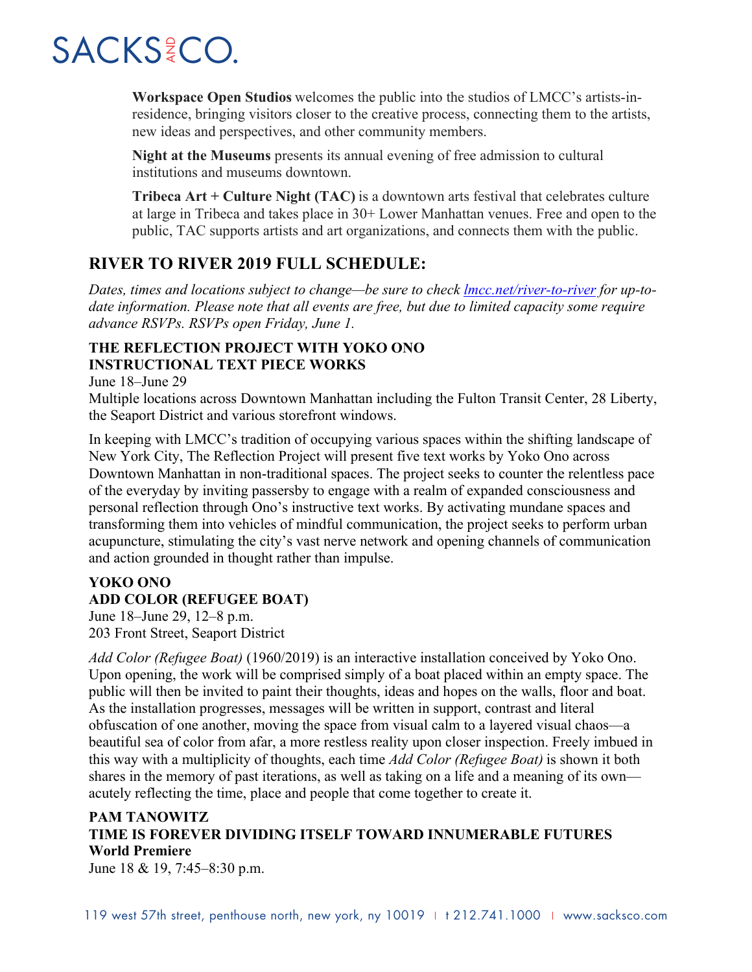**Workspace Open Studios** welcomes the public into the studios of LMCC's artists-inresidence, bringing visitors closer to the creative process, connecting them to the artists, new ideas and perspectives, and other community members.

**Night at the Museums** presents its annual evening of free admission to cultural institutions and museums downtown.

**Tribeca Art + Culture Night (TAC)** is a downtown arts festival that celebrates culture at large in Tribeca and takes place in 30+ Lower Manhattan venues. Free and open to the public, TAC supports artists and art organizations, and connects them with the public.

### **RIVER TO RIVER 2019 FULL SCHEDULE:**

*Dates, times and locations subject to change—be sure to check lmcc.net/river-to-river for up-todate information. Please note that all events are free, but due to limited capacity some require advance RSVPs. RSVPs open Friday, June 1.*

#### **THE REFLECTION PROJECT WITH YOKO ONO INSTRUCTIONAL TEXT PIECE WORKS**

June 18–June 29

Multiple locations across Downtown Manhattan including the Fulton Transit Center, 28 Liberty, the Seaport District and various storefront windows.

In keeping with LMCC's tradition of occupying various spaces within the shifting landscape of New York City, The Reflection Project will present five text works by Yoko Ono across Downtown Manhattan in non-traditional spaces. The project seeks to counter the relentless pace of the everyday by inviting passersby to engage with a realm of expanded consciousness and personal reflection through Ono's instructive text works. By activating mundane spaces and transforming them into vehicles of mindful communication, the project seeks to perform urban acupuncture, stimulating the city's vast nerve network and opening channels of communication and action grounded in thought rather than impulse.

#### **YOKO ONO ADD COLOR (REFUGEE BOAT)**

June 18–June 29, 12–8 p.m. 203 Front Street, Seaport District

*Add Color (Refugee Boat)* (1960/2019) is an interactive installation conceived by Yoko Ono. Upon opening, the work will be comprised simply of a boat placed within an empty space. The public will then be invited to paint their thoughts, ideas and hopes on the walls, floor and boat. As the installation progresses, messages will be written in support, contrast and literal obfuscation of one another, moving the space from visual calm to a layered visual chaos—a beautiful sea of color from afar, a more restless reality upon closer inspection. Freely imbued in this way with a multiplicity of thoughts, each time *Add Color (Refugee Boat)* is shown it both shares in the memory of past iterations, as well as taking on a life and a meaning of its own acutely reflecting the time, place and people that come together to create it.

### **PAM TANOWITZ TIME IS FOREVER DIVIDING ITSELF TOWARD INNUMERABLE FUTURES World Premiere**

June 18 & 19, 7:45–8:30 p.m.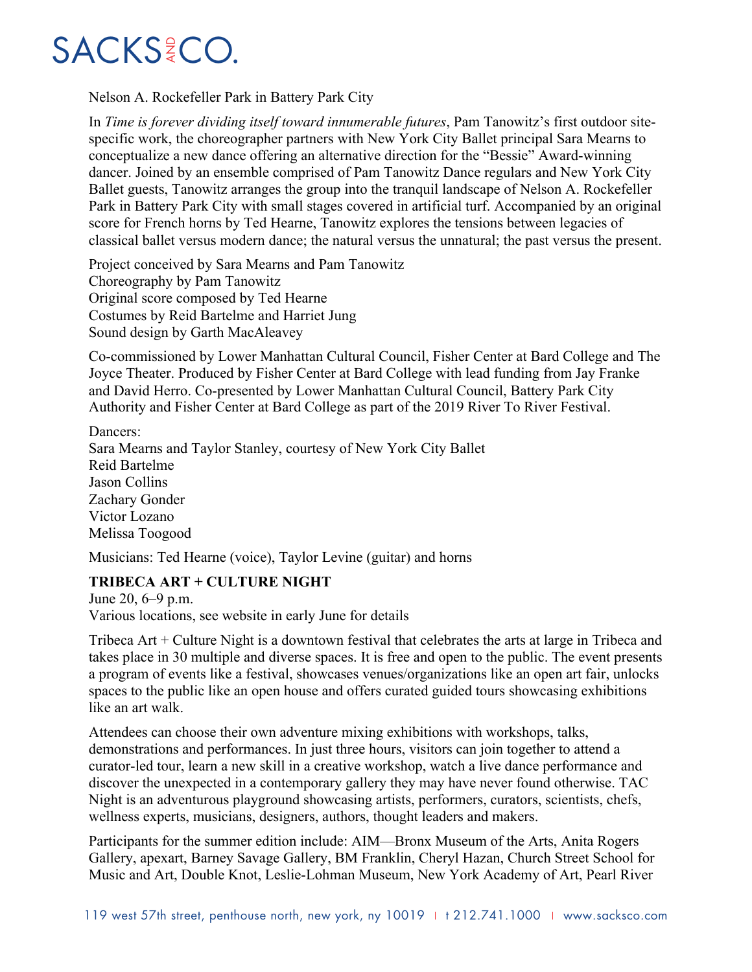

Nelson A. Rockefeller Park in Battery Park City

In *Time is forever dividing itself toward innumerable futures*, Pam Tanowitz's first outdoor sitespecific work, the choreographer partners with New York City Ballet principal Sara Mearns to conceptualize a new dance offering an alternative direction for the "Bessie" Award-winning dancer. Joined by an ensemble comprised of Pam Tanowitz Dance regulars and New York City Ballet guests, Tanowitz arranges the group into the tranquil landscape of Nelson A. Rockefeller Park in Battery Park City with small stages covered in artificial turf. Accompanied by an original score for French horns by Ted Hearne, Tanowitz explores the tensions between legacies of classical ballet versus modern dance; the natural versus the unnatural; the past versus the present.

Project conceived by Sara Mearns and Pam Tanowitz Choreography by Pam Tanowitz Original score composed by Ted Hearne Costumes by Reid Bartelme and Harriet Jung Sound design by Garth MacAleavey

Co-commissioned by Lower Manhattan Cultural Council, Fisher Center at Bard College and The Joyce Theater. Produced by Fisher Center at Bard College with lead funding from Jay Franke and David Herro. Co-presented by Lower Manhattan Cultural Council, Battery Park City Authority and Fisher Center at Bard College as part of the 2019 River To River Festival.

Dancers<sup>.</sup> Sara Mearns and Taylor Stanley, courtesy of New York City Ballet Reid Bartelme Jason Collins Zachary Gonder Victor Lozano Melissa Toogood

Musicians: Ted Hearne (voice), Taylor Levine (guitar) and horns

#### **TRIBECA ART + CULTURE NIGHT**

June 20, 6–9 p.m. Various locations, see website in early June for details

Tribeca Art + Culture Night is a downtown festival that celebrates the arts at large in Tribeca and takes place in 30 multiple and diverse spaces. It is free and open to the public. The event presents a program of events like a festival, showcases venues/organizations like an open art fair, unlocks spaces to the public like an open house and offers curated guided tours showcasing exhibitions like an art walk.

Attendees can choose their own adventure mixing exhibitions with workshops, talks, demonstrations and performances. In just three hours, visitors can join together to attend a curator-led tour, learn a new skill in a creative workshop, watch a live dance performance and discover the unexpected in a contemporary gallery they may have never found otherwise. TAC Night is an adventurous playground showcasing artists, performers, curators, scientists, chefs, wellness experts, musicians, designers, authors, thought leaders and makers.

Participants for the summer edition include: AIM—Bronx Museum of the Arts, Anita Rogers Gallery, apexart, Barney Savage Gallery, BM Franklin, Cheryl Hazan, Church Street School for Music and Art, Double Knot, Leslie-Lohman Museum, New York Academy of Art, Pearl River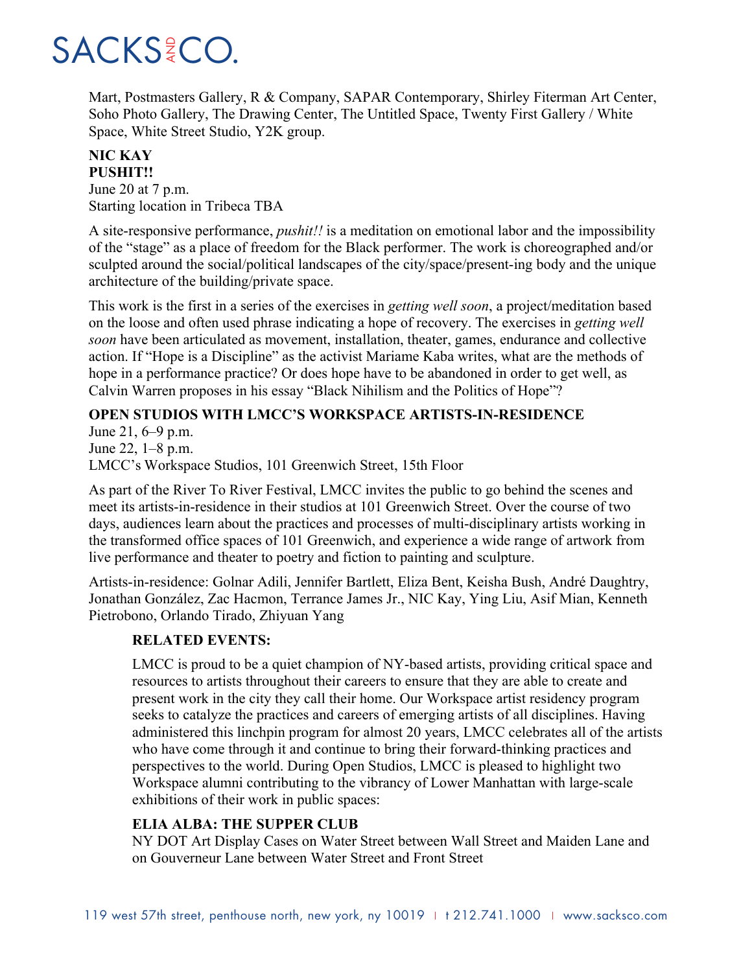Mart, Postmasters Gallery, R & Company, SAPAR Contemporary, Shirley Fiterman Art Center, Soho Photo Gallery, The Drawing Center, The Untitled Space, Twenty First Gallery / White Space, White Street Studio, Y2K group.

#### **NIC KAY PUSHIT!!**

June 20 at 7 p.m. Starting location in Tribeca TBA

A site-responsive performance, *pushit!!* is a meditation on emotional labor and the impossibility of the "stage" as a place of freedom for the Black performer. The work is choreographed and/or sculpted around the social/political landscapes of the city/space/present-ing body and the unique architecture of the building/private space.

This work is the first in a series of the exercises in *getting well soon*, a project/meditation based on the loose and often used phrase indicating a hope of recovery. The exercises in *getting well soon* have been articulated as movement, installation, theater, games, endurance and collective action. If "Hope is a Discipline" as the activist Mariame Kaba writes, what are the methods of hope in a performance practice? Or does hope have to be abandoned in order to get well, as Calvin Warren proposes in his essay "Black Nihilism and the Politics of Hope"?

### **OPEN STUDIOS WITH LMCC'S WORKSPACE ARTISTS-IN-RESIDENCE**

June 21, 6–9 p.m. June 22, 1–8 p.m.

LMCC's Workspace Studios, 101 Greenwich Street, 15th Floor

As part of the River To River Festival, LMCC invites the public to go behind the scenes and meet its artists-in-residence in their studios at 101 Greenwich Street. Over the course of two days, audiences learn about the practices and processes of multi-disciplinary artists working in the transformed office spaces of 101 Greenwich, and experience a wide range of artwork from live performance and theater to poetry and fiction to painting and sculpture.

Artists-in-residence: Golnar Adili, Jennifer Bartlett, Eliza Bent, Keisha Bush, André Daughtry, Jonathan González, Zac Hacmon, Terrance James Jr., NIC Kay, Ying Liu, Asif Mian, Kenneth Pietrobono, Orlando Tirado, Zhiyuan Yang

#### **RELATED EVENTS:**

LMCC is proud to be a quiet champion of NY-based artists, providing critical space and resources to artists throughout their careers to ensure that they are able to create and present work in the city they call their home. Our Workspace artist residency program seeks to catalyze the practices and careers of emerging artists of all disciplines. Having administered this linchpin program for almost 20 years, LMCC celebrates all of the artists who have come through it and continue to bring their forward-thinking practices and perspectives to the world. During Open Studios, LMCC is pleased to highlight two Workspace alumni contributing to the vibrancy of Lower Manhattan with large-scale exhibitions of their work in public spaces:

#### **ELIA ALBA: THE SUPPER CLUB**

NY DOT Art Display Cases on Water Street between Wall Street and Maiden Lane and on Gouverneur Lane between Water Street and Front Street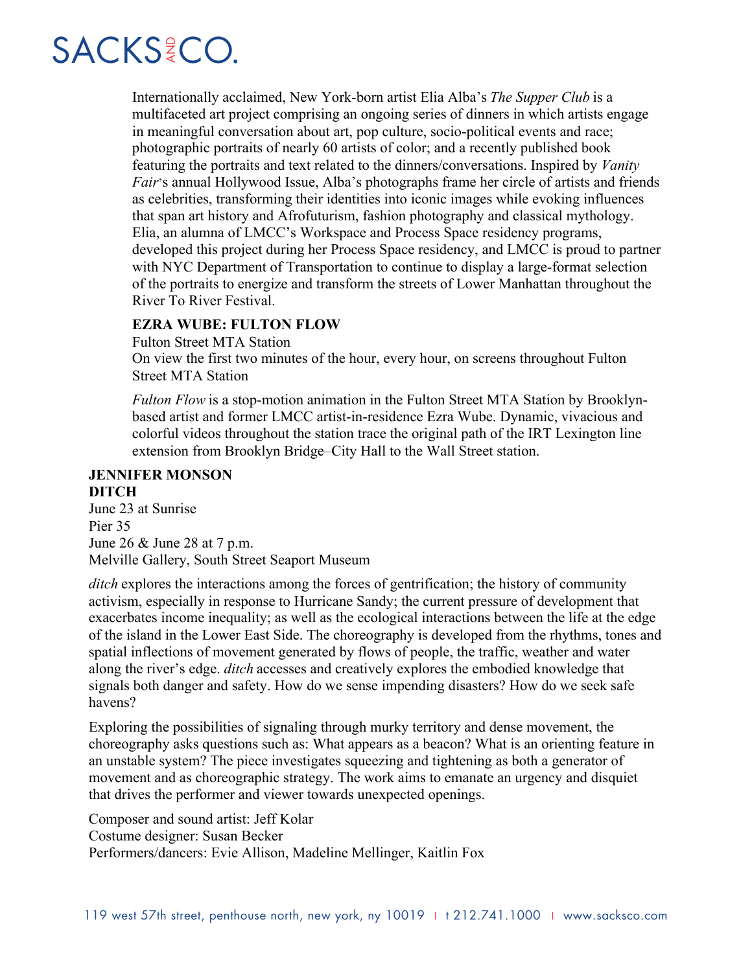Internationally acclaimed, New York-born artist Elia Alba's *The Supper Club* is a multifaceted art project comprising an ongoing series of dinners in which artists engage in meaningful conversation about art, pop culture, socio-political events and race; photographic portraits of nearly 60 artists of color; and a recently published book featuring the portraits and text related to the dinners/conversations. Inspired by *Vanity Fair*'s annual Hollywood Issue, Alba's photographs frame her circle of artists and friends as celebrities, transforming their identities into iconic images while evoking influences that span art history and Afrofuturism, fashion photography and classical mythology. Elia, an alumna of LMCC's Workspace and Process Space residency programs, developed this project during her Process Space residency, and LMCC is proud to partner with NYC Department of Transportation to continue to display a large-format selection of the portraits to energize and transform the streets of Lower Manhattan throughout the River To River Festival.

#### **EZRA WUBE: FULTON FLOW**

Fulton Street MTA Station On view the first two minutes of the hour, every hour, on screens throughout Fulton Street MTA Station

*Fulton Flow* is a stop-motion animation in the Fulton Street MTA Station by Brooklynbased artist and former LMCC artist-in-residence Ezra Wube. Dynamic, vivacious and colorful videos throughout the station trace the original path of the IRT Lexington line extension from Brooklyn Bridge–City Hall to the Wall Street station.

#### **JENNIFER MONSON DITCH**

June 23 at Sunrise Pier 35 June 26 & June 28 at 7 p.m. Melville Gallery, South Street Seaport Museum

*ditch* explores the interactions among the forces of gentrification; the history of community activism, especially in response to Hurricane Sandy; the current pressure of development that exacerbates income inequality; as well as the ecological interactions between the life at the edge of the island in the Lower East Side. The choreography is developed from the rhythms, tones and spatial inflections of movement generated by flows of people, the traffic, weather and water along the river's edge. *ditch* accesses and creatively explores the embodied knowledge that signals both danger and safety. How do we sense impending disasters? How do we seek safe havens?

Exploring the possibilities of signaling through murky territory and dense movement, the choreography asks questions such as: What appears as a beacon? What is an orienting feature in an unstable system? The piece investigates squeezing and tightening as both a generator of movement and as choreographic strategy. The work aims to emanate an urgency and disquiet that drives the performer and viewer towards unexpected openings.

Composer and sound artist: Jeff Kolar

Costume designer: Susan Becker

Performers/dancers: Evie Allison, Madeline Mellinger, Kaitlin Fox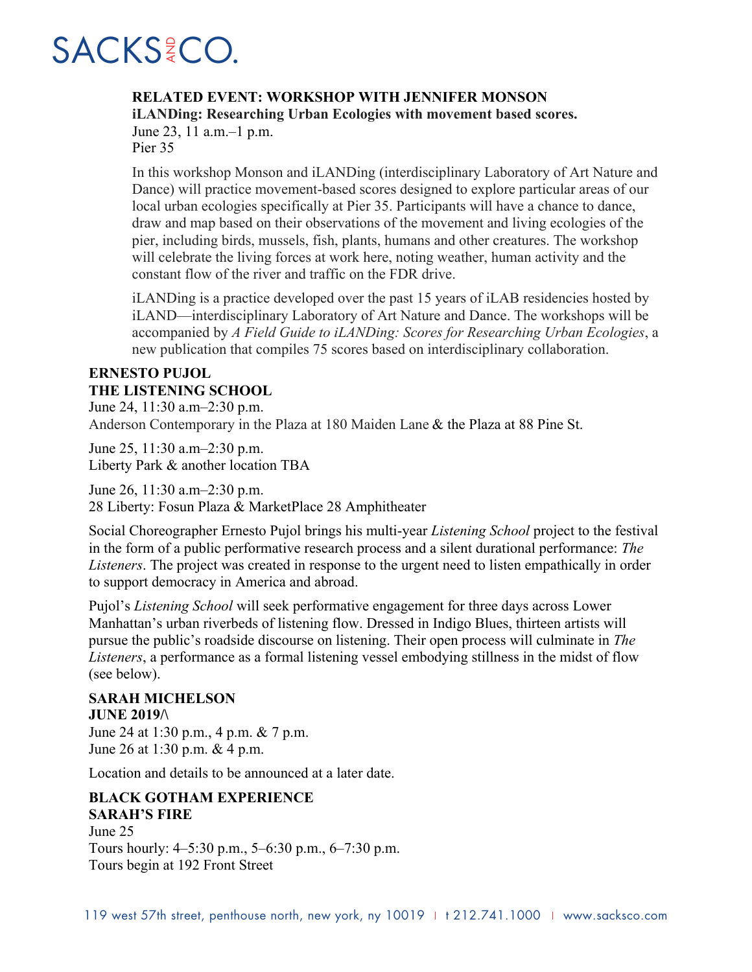#### **RELATED EVENT: WORKSHOP WITH JENNIFER MONSON**

**iLANDing: Researching Urban Ecologies with movement based scores.**

June 23, 11 a.m.–1 p.m. Pier 35

In this workshop Monson and iLANDing (interdisciplinary Laboratory of Art Nature and Dance) will practice movement-based scores designed to explore particular areas of our local urban ecologies specifically at Pier 35. Participants will have a chance to dance, draw and map based on their observations of the movement and living ecologies of the pier, including birds, mussels, fish, plants, humans and other creatures. The workshop will celebrate the living forces at work here, noting weather, human activity and the constant flow of the river and traffic on the FDR drive.

iLANDing is a practice developed over the past 15 years of iLAB residencies hosted by iLAND—interdisciplinary Laboratory of Art Nature and Dance. The workshops will be accompanied by *A Field Guide to iLANDing: Scores for Researching Urban Ecologies*, a new publication that compiles 75 scores based on interdisciplinary collaboration.

### **ERNESTO PUJOL THE LISTENING SCHOOL**

June 24, 11:30 a.m–2:30 p.m. Anderson Contemporary in the Plaza at 180 Maiden Lane & the Plaza at 88 Pine St.

June 25, 11:30 a.m–2:30 p.m. Liberty Park & another location TBA

June 26, 11:30 a.m–2:30 p.m. 28 Liberty: Fosun Plaza & MarketPlace 28 Amphitheater

Social Choreographer Ernesto Pujol brings his multi-year *Listening School* project to the festival in the form of a public performative research process and a silent durational performance: *The Listeners*. The project was created in response to the urgent need to listen empathically in order to support democracy in America and abroad.

Pujol's *Listening School* will seek performative engagement for three days across Lower Manhattan's urban riverbeds of listening flow. Dressed in Indigo Blues, thirteen artists will pursue the public's roadside discourse on listening. Their open process will culminate in *The Listeners*, a performance as a formal listening vessel embodying stillness in the midst of flow (see below).

#### **SARAH MICHELSON JUNE 2019/\**

June 24 at 1:30 p.m., 4 p.m. & 7 p.m. June 26 at 1:30 p.m. & 4 p.m.

Location and details to be announced at a later date.

### **BLACK GOTHAM EXPERIENCE SARAH'S FIRE**

June 25 Tours hourly: 4–5:30 p.m., 5–6:30 p.m., 6–7:30 p.m. Tours begin at 192 Front Street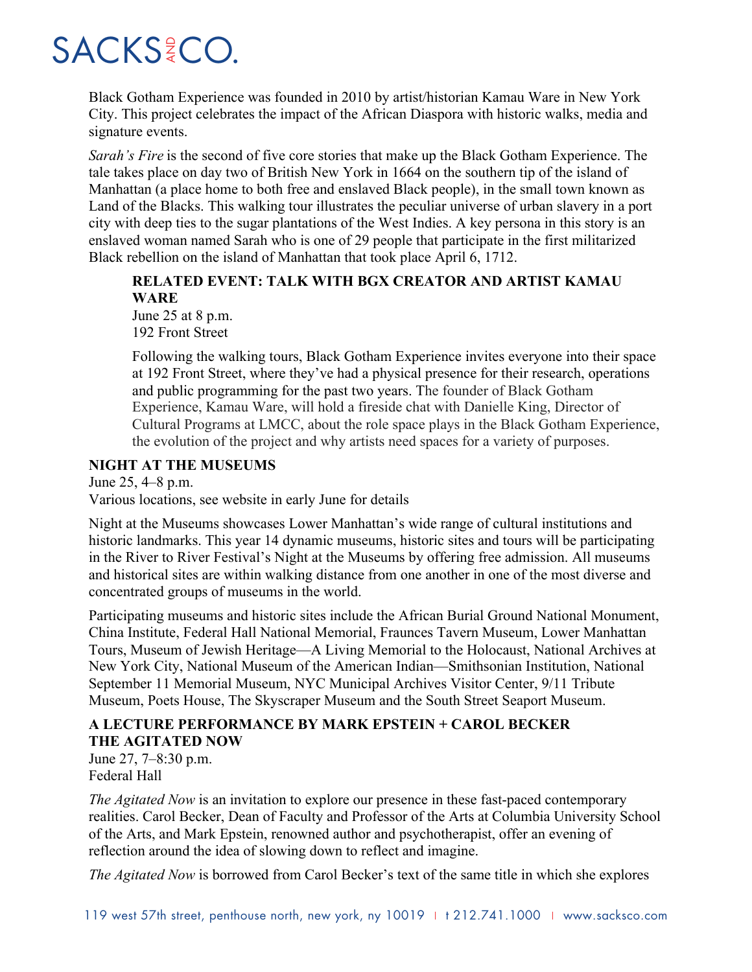Black Gotham Experience was founded in 2010 by artist/historian Kamau Ware in New York City. This project celebrates the impact of the African Diaspora with historic walks, media and signature events.

*Sarah's Fire* is the second of five core stories that make up the Black Gotham Experience. The tale takes place on day two of British New York in 1664 on the southern tip of the island of Manhattan (a place home to both free and enslaved Black people), in the small town known as Land of the Blacks. This walking tour illustrates the peculiar universe of urban slavery in a port city with deep ties to the sugar plantations of the West Indies. A key persona in this story is an enslaved woman named Sarah who is one of 29 people that participate in the first militarized Black rebellion on the island of Manhattan that took place April 6, 1712.

#### **RELATED EVENT: TALK WITH BGX CREATOR AND ARTIST KAMAU WARE**

June 25 at 8 p.m. 192 Front Street

Following the walking tours, Black Gotham Experience invites everyone into their space at 192 Front Street, where they've had a physical presence for their research, operations and public programming for the past two years. The founder of Black Gotham Experience, Kamau Ware, will hold a fireside chat with Danielle King, Director of Cultural Programs at LMCC, about the role space plays in the Black Gotham Experience, the evolution of the project and why artists need spaces for a variety of purposes.

#### **NIGHT AT THE MUSEUMS**

June 25, 4–8 p.m.

Various locations, see website in early June for details

Night at the Museums showcases Lower Manhattan's wide range of cultural institutions and historic landmarks. This year 14 dynamic museums, historic sites and tours will be participating in the River to River Festival's Night at the Museums by offering free admission. All museums and historical sites are within walking distance from one another in one of the most diverse and concentrated groups of museums in the world.

Participating museums and historic sites include the African Burial Ground National Monument, China Institute, Federal Hall National Memorial, Fraunces Tavern Museum, Lower Manhattan Tours, Museum of Jewish Heritage—A Living Memorial to the Holocaust, National Archives at New York City, National Museum of the American Indian—Smithsonian Institution, National September 11 Memorial Museum, NYC Municipal Archives Visitor Center, 9/11 Tribute Museum, Poets House, The Skyscraper Museum and the South Street Seaport Museum.

### **A LECTURE PERFORMANCE BY MARK EPSTEIN + CAROL BECKER THE AGITATED NOW**

June 27, 7–8:30 p.m. Federal Hall

*The Agitated Now* is an invitation to explore our presence in these fast-paced contemporary realities. Carol Becker, Dean of Faculty and Professor of the Arts at Columbia University School of the Arts, and Mark Epstein, renowned author and psychotherapist, offer an evening of reflection around the idea of slowing down to reflect and imagine.

*The Agitated Now* is borrowed from Carol Becker's text of the same title in which she explores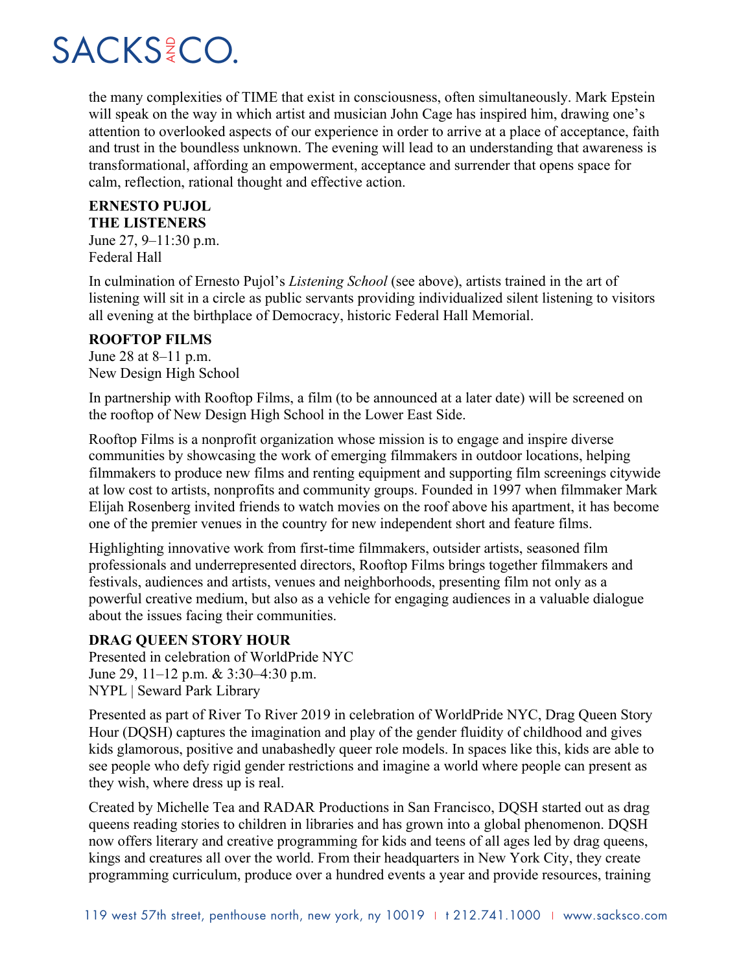the many complexities of TIME that exist in consciousness, often simultaneously. Mark Epstein will speak on the way in which artist and musician John Cage has inspired him, drawing one's attention to overlooked aspects of our experience in order to arrive at a place of acceptance, faith and trust in the boundless unknown. The evening will lead to an understanding that awareness is transformational, affording an empowerment, acceptance and surrender that opens space for calm, reflection, rational thought and effective action.

#### **ERNESTO PUJOL**

**THE LISTENERS**

June 27, 9–11:30 p.m. Federal Hall

In culmination of Ernesto Pujol's *Listening School* (see above), artists trained in the art of listening will sit in a circle as public servants providing individualized silent listening to visitors all evening at the birthplace of Democracy, historic Federal Hall Memorial.

#### **ROOFTOP FILMS**

June 28 at 8–11 p.m. New Design High School

In partnership with Rooftop Films, a film (to be announced at a later date) will be screened on the rooftop of New Design High School in the Lower East Side.

Rooftop Films is a nonprofit organization whose mission is to engage and inspire diverse communities by showcasing the work of emerging filmmakers in outdoor locations, helping filmmakers to produce new films and renting equipment and supporting film screenings citywide at low cost to artists, nonprofits and community groups. Founded in 1997 when filmmaker Mark Elijah Rosenberg invited friends to watch movies on the roof above his apartment, it has become one of the premier venues in the country for new independent short and feature films.

Highlighting innovative work from first-time filmmakers, outsider artists, seasoned film professionals and underrepresented directors, Rooftop Films brings together filmmakers and festivals, audiences and artists, venues and neighborhoods, presenting film not only as a powerful creative medium, but also as a vehicle for engaging audiences in a valuable dialogue about the issues facing their communities.

#### **DRAG QUEEN STORY HOUR**

Presented in celebration of WorldPride NYC June 29, 11–12 p.m. & 3:30–4:30 p.m. NYPL | Seward Park Library

Presented as part of River To River 2019 in celebration of WorldPride NYC, Drag Queen Story Hour (DQSH) captures the imagination and play of the gender fluidity of childhood and gives kids glamorous, positive and unabashedly queer role models. In spaces like this, kids are able to see people who defy rigid gender restrictions and imagine a world where people can present as they wish, where dress up is real.

Created by Michelle Tea and RADAR Productions in San Francisco, DQSH started out as drag queens reading stories to children in libraries and has grown into a global phenomenon. DQSH now offers literary and creative programming for kids and teens of all ages led by drag queens, kings and creatures all over the world. From their headquarters in New York City, they create programming curriculum, produce over a hundred events a year and provide resources, training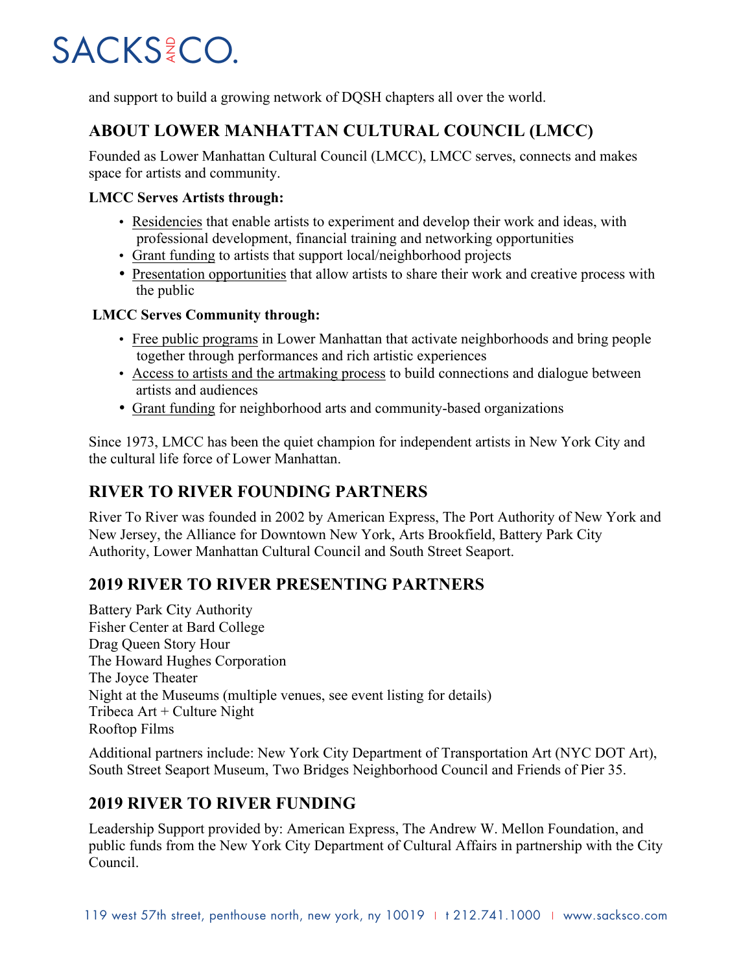and support to build a growing network of DQSH chapters all over the world.

## **ABOUT LOWER MANHATTAN CULTURAL COUNCIL (LMCC)**

Founded as Lower Manhattan Cultural Council (LMCC), LMCC serves, connects and makes space for artists and community.

#### **LMCC Serves Artists through:**

- Residencies that enable artists to experiment and develop their work and ideas, with professional development, financial training and networking opportunities
- Grant funding to artists that support local/neighborhood projects
- Presentation opportunities that allow artists to share their work and creative process with the public

#### **LMCC Serves Community through:**

- Free public programs in Lower Manhattan that activate neighborhoods and bring people together through performances and rich artistic experiences
- Access to artists and the artmaking process to build connections and dialogue between artists and audiences
- Grant funding for neighborhood arts and community-based organizations

Since 1973, LMCC has been the quiet champion for independent artists in New York City and the cultural life force of Lower Manhattan.

## **RIVER TO RIVER FOUNDING PARTNERS**

River To River was founded in 2002 by American Express, The Port Authority of New York and New Jersey, the Alliance for Downtown New York, Arts Brookfield, Battery Park City Authority, Lower Manhattan Cultural Council and South Street Seaport.

### **2019 RIVER TO RIVER PRESENTING PARTNERS**

Battery Park City Authority Fisher Center at Bard College Drag Queen Story Hour The Howard Hughes Corporation The Joyce Theater Night at the Museums (multiple venues, see event listing for details) Tribeca  $Art + Culture$  Night Rooftop Films

Additional partners include: New York City Department of Transportation Art (NYC DOT Art), South Street Seaport Museum, Two Bridges Neighborhood Council and Friends of Pier 35.

## **2019 RIVER TO RIVER FUNDING**

Leadership Support provided by: American Express, The Andrew W. Mellon Foundation, and public funds from the New York City Department of Cultural Affairs in partnership with the City Council.